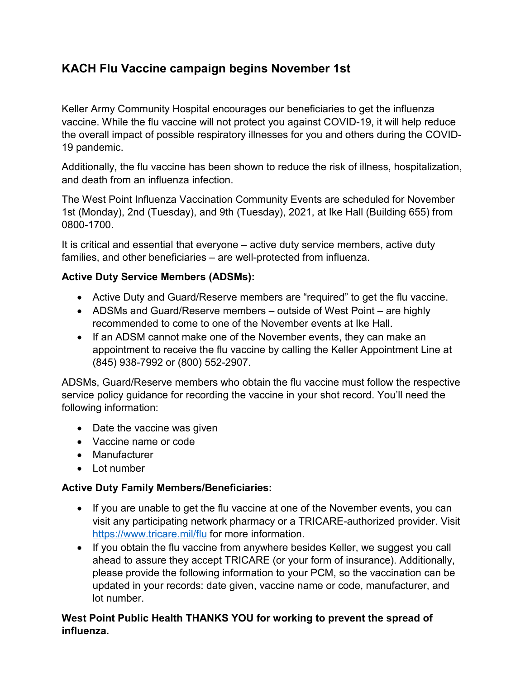## **KACH Flu Vaccine campaign begins November 1st**

Keller Army Community Hospital encourages our beneficiaries to get the influenza vaccine. While the flu vaccine will not protect you against COVID-19, it will help reduce the overall impact of possible respiratory illnesses for you and others during the COVID-19 pandemic.

Additionally, the flu vaccine has been shown to reduce the risk of illness, hospitalization, and death from an influenza infection.

The West Point Influenza Vaccination Community Events are scheduled for November 1st (Monday), 2nd (Tuesday), and 9th (Tuesday), 2021, at Ike Hall (Building 655) from 0800-1700.

It is critical and essential that everyone – active duty service members, active duty families, and other beneficiaries – are well-protected from influenza.

## **Active Duty Service Members (ADSMs):**

- Active Duty and Guard/Reserve members are "required" to get the flu vaccine.
- ADSMs and Guard/Reserve members outside of West Point are highly recommended to come to one of the November events at Ike Hall.
- If an ADSM cannot make one of the November events, they can make an appointment to receive the flu vaccine by calling the Keller Appointment Line at (845) 938-7992 or (800) 552-2907.

ADSMs, Guard/Reserve members who obtain the flu vaccine must follow the respective service policy guidance for recording the vaccine in your shot record. You'll need the following information:

- Date the vaccine was given
- Vaccine name or code
- Manufacturer
- Lot number

## **Active Duty Family Members/Beneficiaries:**

- If you are unable to get the flu vaccine at one of the November events, you can visit any participating network pharmacy or a TRICARE-authorized provider. Visit <https://www.tricare.mil/flu> for more information.
- If you obtain the flu vaccine from anywhere besides Keller, we suggest you call ahead to assure they accept TRICARE (or your form of insurance). Additionally, please provide the following information to your PCM, so the vaccination can be updated in your records: date given, vaccine name or code, manufacturer, and lot number.

## **West Point Public Health THANKS YOU for working to prevent the spread of influenza.**